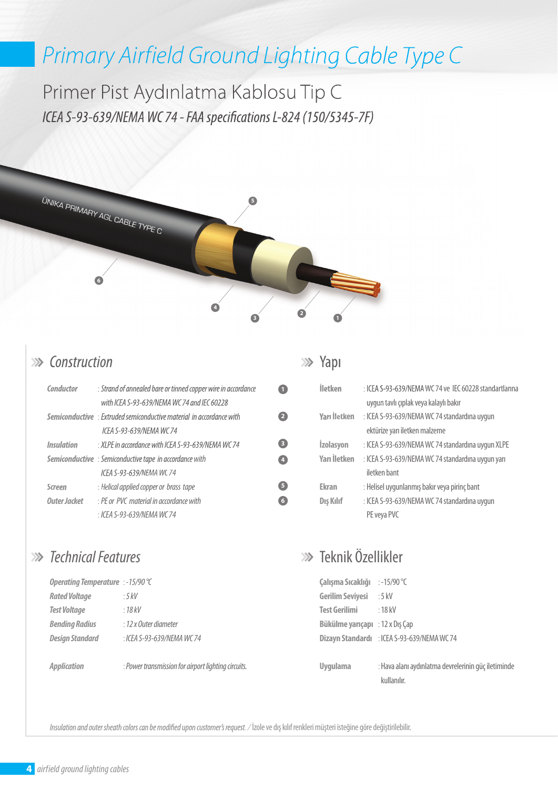# *Primary Airfield Ground Lighting Cable Type C*

Primer Pist Aydınlatma Kablosu Tip C *ICEA S-93-639/NEMA WC 74 - FAA specifications L-824 (150/5345-7F)* 



#### *Construction*

| Conductor         | : Strand of annealed bare or tinned copper wire in accordance               |
|-------------------|-----------------------------------------------------------------------------|
|                   | with ICEA S-93-639/NEMA WC 74 and IEC 60228                                 |
|                   | <b>Semiconductive</b> : Extruded semiconductive material in accordance with |
|                   | ICEA S-93-639/NEMA WC 74                                                    |
| <b>Insulation</b> | $\cdot$ XI PF in accordance with ICFA S-93-639/NFMA WC 74                   |
|                   | <b>Semiconductive</b> : Semiconductive tape in accordance with              |
|                   | ICFA S-93-639/NFMA WC 74                                                    |
| Screen            | : Helical applied copper or brass tape                                      |
| Outer Jacket      | $\cdot$ PF or PVC material in accordance with                               |
|                   | : ICEA S-93-639/NEMA WC 74                                                  |

### *Technical Features*

| Operating Temperature : -15/90 °C |                            |
|-----------------------------------|----------------------------|
| <b>Rated Voltage</b>              | $.5$ kV                    |
| <b>Test Voltage</b>               | : 18kV                     |
| <b>Bending Radius</b>             | $: 12$ x Outer diameter    |
| <b>Design Standard</b>            | : ICEA S-93-639/NEMA WC 74 |
|                                   |                            |

:

*Application* 

*Power transmission for airport lighting circuits.* 

#### **>>>** Yapı

**1**

**2**

**3 4**

**5 6**

| İletken             | : ICEA S-93-639/NEMA WC 74 ve IEC 60228 standartlarına |
|---------------------|--------------------------------------------------------|
|                     | uygun tavlı çıplak veya kalaylı bakır                  |
| <b>Yarı İletken</b> | : ICEA S-93-639/NEMA WC 74 standardına uygun           |
|                     | ektürize yarı iletken malzeme                          |
| <b>İzolasyon</b>    | : ICEA S-93-639/NEMA WC 74 standardına uygun XLPE      |
| Yarı İletken        | : ICEA S-93-639/NEMA WC 74 standardına uygun yarı      |
|                     | iletken bant                                           |
| <b>Ekran</b>        | : Helisel uygunlanmış bakır veya pirinç bant           |
| Dış Kılıf           | : ICEA S-93-639/NEMA WC 74 standardına uygun           |
|                     | PE veya PVC                                            |

## Teknik Özellikler

| Çalışma Sıcaklığı       | :-15/90 $\degree$ C                |
|-------------------------|------------------------------------|
| <b>Gerilim Seviyesi</b> | $:5$ kV                            |
| <b>Test Gerilimi</b>    | $\cdot$ 18 kV                      |
| Bükülme yarıçapı        | : $12 \times$ D <sub>I</sub> ş Çap |
| Dizayn Standardı        | : ICEA S-93-639/NEMA WC 74         |
|                         |                                    |

: Hava alanı aydınlatma devrelerinin güç iletiminde kullanılır. **Uygulama** 

*Insulation and outer sheath colors can be modi ed upon customer's request. /* İzole ve dış kılıf renkleri müşteri isteğine göre değiştirilebilir.